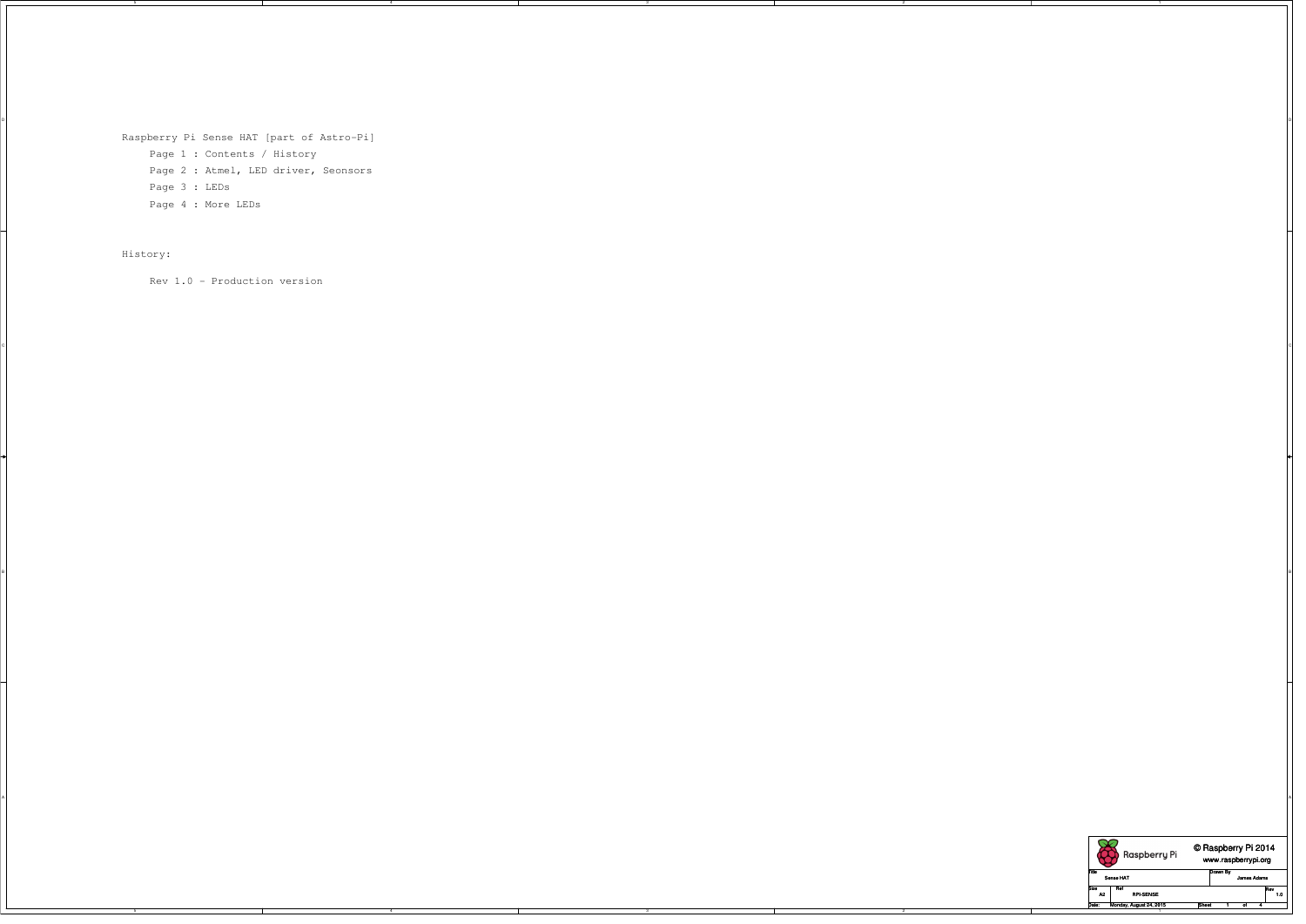5

5

4

4

3

D DIRECTION OF REAL PROPERTY OF REAL PROPERTY OF REAL PROPERTY OF REAL PROPERTY OF REAL PROPERTY OF REAL PROPERTY OF REAL PROPERTY OF REAL PROPERTY OF REAL PROPERTY OF REAL PROPERTY OF REAL PROPERTY OF REAL PROPERTY OF REA

 $\circ$ 

B BLOCK ISLAMIC CONTROL OF THE CONTROL OF THE CONTROL OF THE CONTROL OF THE CONTROL OF THE CONTROL OF THE CONTROL OF THE CONTROL OF THE CONTROL OF THE CONTROL OF THE CONTROL OF THE CONTROL OF THE CONTROL OF THE CONTROL OF

3

A

2

2

1

Raspberry Pi Sense HAT [part of Astro-Pi] Page 1 : Contents / History Page 2 : Atmel, LED driver, Seonsors Page 3 : LEDs Page 4 : More LEDs



## History:

Rev 1.0 - Production version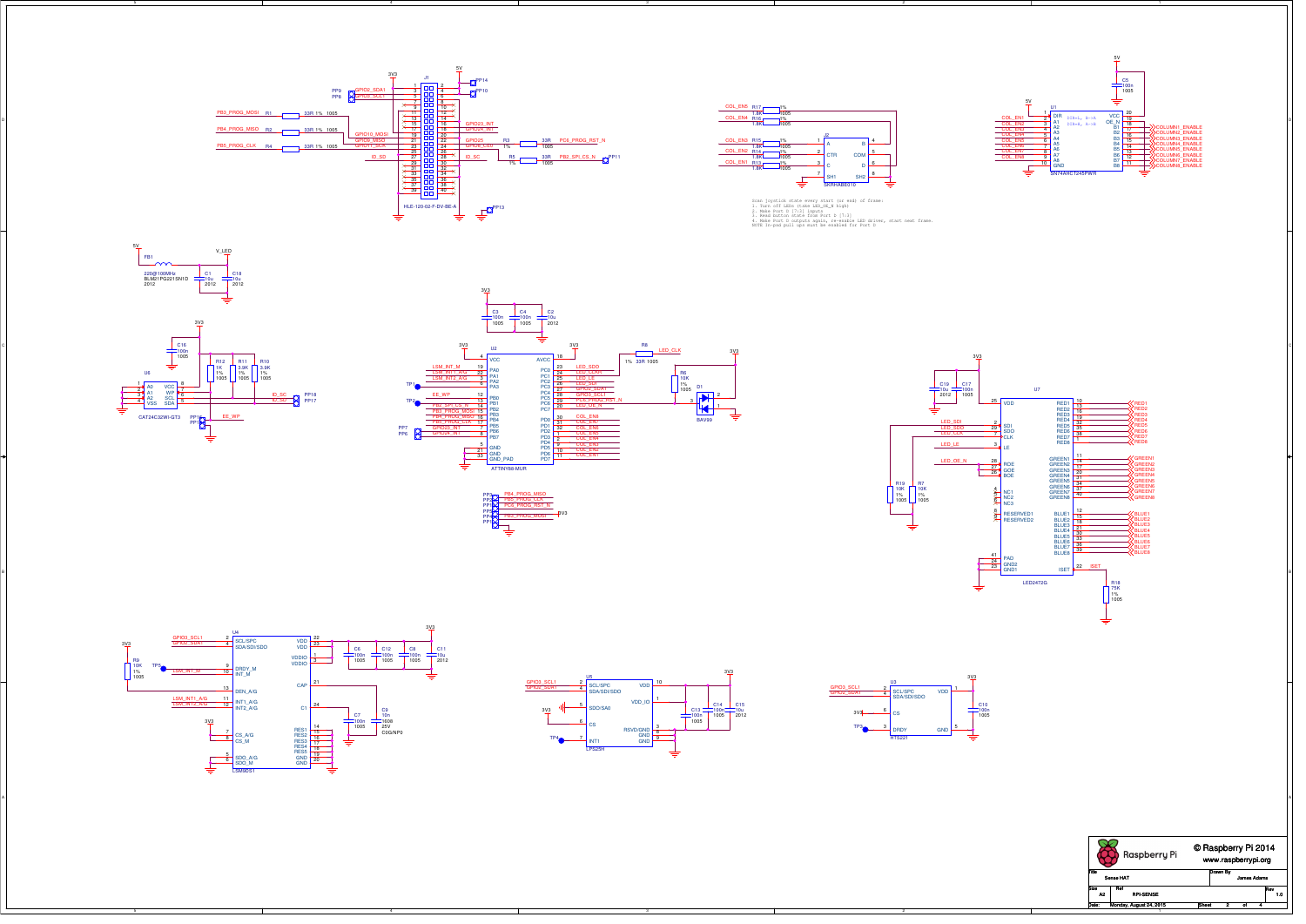5

5

4

4

3

3

A

2

2

1

1

PB3\_PROG\_MOSI

5V















PP1





Scan joystick state every start (or end) of frame:<br>1. Turn off LEDs (take LED\_OE\_N high)<br>2. Make Port D [7:3] inputs<br>3. Read button state from Port D [7:3]<br>4. Make Port D outputs again, re-enable LED driver, start next fra



PP4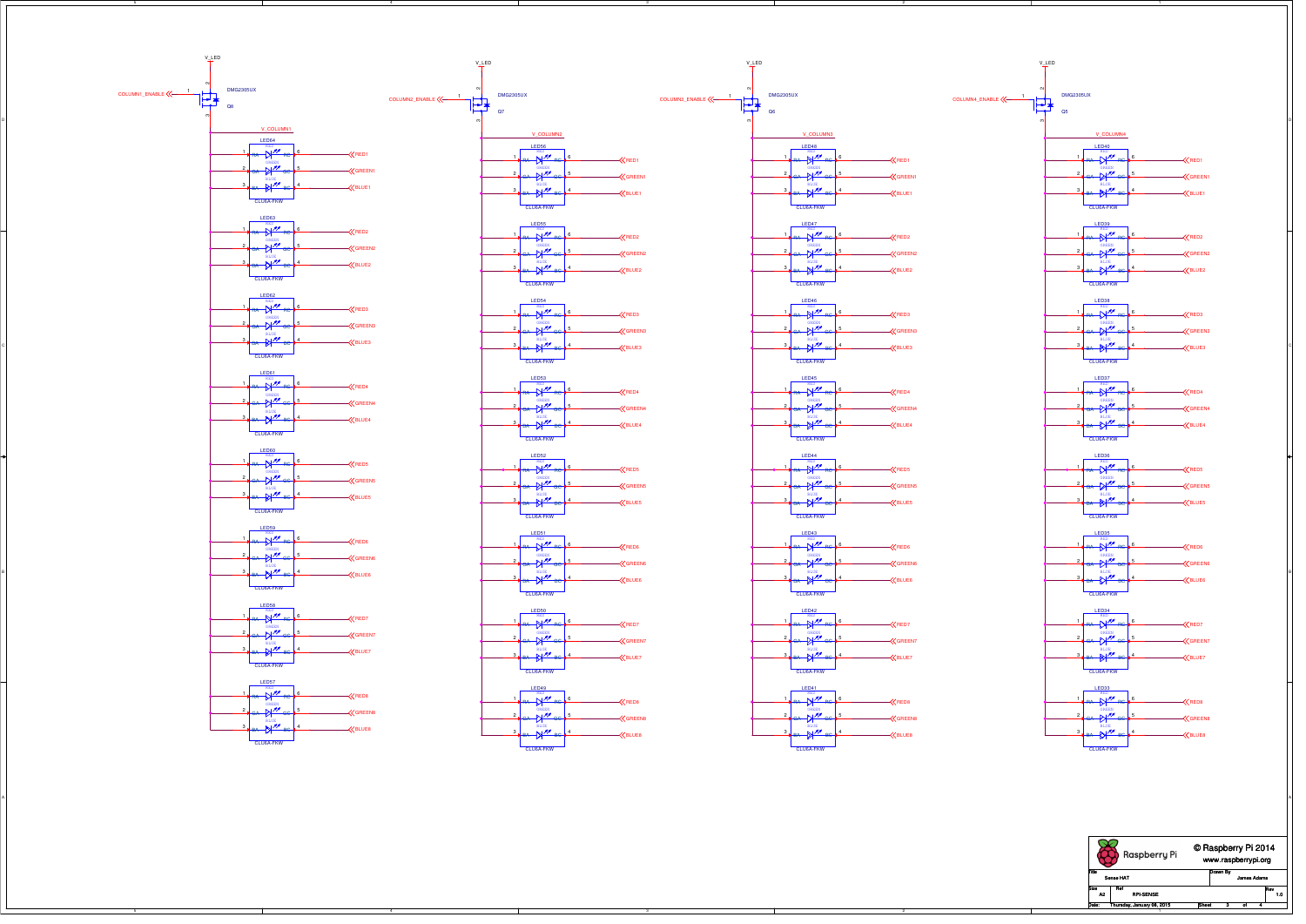C

B

A



RED1